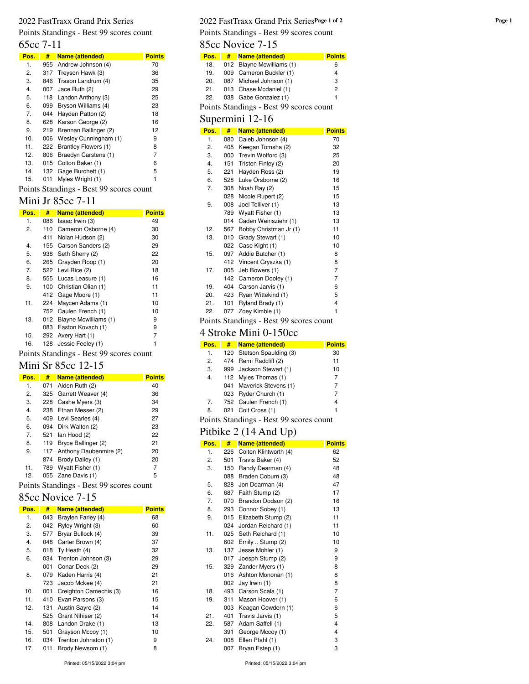Points Standings - Best 99 scores count

65cc 7-11

| Pos. | #   | Name (attended)       | Points |
|------|-----|-----------------------|--------|
| 1.   | 955 | Andrew Johnson (4)    | 70     |
| 2.   | 317 | Treyson Hawk (3)      | 36     |
| 3.   | 846 | Trason Landrum (4)    | 35     |
| 4.   | 007 | Jace Ruth (2)         | 29     |
| 5.   | 118 | Landon Anthony (3)    | 25     |
| 6.   | 099 | Bryson Williams (4)   | 23     |
| 7.   | 044 | Hayden Patton (2)     | 18     |
| 8.   | 628 | Karson George (2)     | 16     |
| 9.   | 219 | Brennan Ballinger (2) | 12     |
| 10.  | 006 | Wesley Cunningham (1) | 9      |
| 11.  | 222 | Brantley Flowers (1)  | 8      |
| 12.  | 806 | Braedyn Carstens (1)  | 7      |
| 13.  | 015 | Colton Baker (1)      | 6      |
| 14.  | 132 | Gage Burchett (1)     | 5      |
| 15.  | 011 | Myles Wright (1)      | 1      |

Points Standings - Best 99 scores count

#### Mini Jr 85cc 7-11

| Pos. | #   | <b>Name (attended)</b> | <b>Points</b> |
|------|-----|------------------------|---------------|
| 1.   | 086 | Isaac Irwin (3)        | 49            |
| 2.   | 110 | Cameron Osborne (4)    | 30            |
|      | 411 | Nolan Hudson (2)       | 30            |
| 4.   | 155 | Carson Sanders (2)     | 29            |
| 5.   | 938 | Seth Sherry (2)        | 22            |
| 6.   | 265 | Grayden Roop (1)       | 20            |
| 7.   | 522 | Levi Rice (2)          | 18            |
| 8.   | 555 | Lucas Leasure (1)      | 16            |
| 9.   | 100 | Christian Olian (1)    | 11            |
|      | 412 | Gage Moore (1)         | 11            |
| 11.  | 224 | Maycen Adams (1)       | 10            |
|      | 752 | Caulen French (1)      | 10            |
| 13.  | 012 | Blayne Mcwilliams (1)  | 9             |
|      | 083 | Easton Kovach (1)      | 9             |
| 15.  | 292 | Avery Hart (1)         | 7             |
| 16.  | 128 | Jessie Feeley (1)      | 1             |

Points Standings - Best 99 scores count

## Mini Sr 85cc 12-15

| Pos. | #   | <b>Name (attended)</b> | <b>Points</b> |
|------|-----|------------------------|---------------|
| 1.   | 071 | Aiden Ruth (2)         | 40            |
| 2.   |     | 325 Garrett Weaver (4) | 36            |
| 3.   | 228 | Cashe Myers (3)        | 34            |
| 4.   | 238 | Ethan Messer (2)       | 29            |
| 5.   | 409 | Levi Searles (4)       | 27            |
| 6.   |     | 094 Dirk Walton (2)    | 23            |
| 7.   | 521 | lan Hood (2)           | 22            |
| 8.   | 119 | Bryce Ballinger (2)    | 21            |
| 9.   | 117 | Anthony Daubenmire (2) | 20            |
|      | 874 | Brody Dailey (1)       | 20            |
| 11.  | 789 | Wyatt Fisher (1)       | 7             |
| 12.  |     | 055 Zane Davis (1)     | 5             |

Points Standings - Best 99 scores count

### 85cc Novice 7-15

| Pos. | #   | <b>Name (attended)</b> | <b>Points</b> |
|------|-----|------------------------|---------------|
| 1.   | 043 | Braylen Farley (4)     | 68            |
| 2.   | 042 | Ryley Wright (3)       | 60            |
| 3.   | 577 | Bryar Bullock (4)      | 39            |
| 4.   | 048 | Carter Brown (4)       | 37            |
| 5.   | 018 | Ty Heath (4)           | 32            |
| 6.   | 034 | Trenton Johnson (3)    | 29            |
|      | 001 | Conar Deck (2)         | 29            |
| 8.   | 079 | Kaden Harris (4)       | 21            |
|      | 723 | Jacob Mckee (4)        | 21            |
| 10.  | 001 | Creighton Camechis (3) | 16            |
| 11.  | 410 | Evan Parsons (3)       | 15            |
| 12.  | 131 | Austin Sayre (2)       | 14            |
|      | 525 | Grant Nihiser (2)      | 14            |
| 14.  | 808 | Landon Drake (1)       | 13            |
| 15.  | 501 | Grayson Mccoy (1)      | 10            |
| 16.  | 034 | Trenton Johnston (1)   | 9             |
| 17.  | 011 | Brody Newsom (1)       | 8             |

#### 2022 FastTraxx Grand Prix Series **Page 1 of 2** 2022 FastTraxx Grand Prix Series **Page 1 of 2** Points Standings - Best 99 scores count

85cc Novice 7-15

| Pos. | # | <b>Name (attended)</b>                  | <b>Points</b> |
|------|---|-----------------------------------------|---------------|
| 18.  |   | 012 Blayne Mcwilliams (1)               | 6             |
| 19.  |   | 009 Cameron Buckler (1)                 | 4             |
| 20.  |   | 087 Michael Johnson (1)                 | 3             |
| 21.  |   | 013 Chase Mcdaniel (1)                  | 2             |
| 22.  |   | 038 Gabe Gonzalez (1)                   | 1             |
|      |   | Points Standings - Best 99 scores count |               |
|      |   |                                         |               |

### Supermini 12-16

| a.   |     |                        |               |
|------|-----|------------------------|---------------|
| Pos. | #   | Name (attended)        | <b>Points</b> |
| 1.   | 080 | Caleb Johnson (4)      | 70            |
| 2.   | 405 | Keegan Tomsha (2)      | 32            |
| 3.   | 000 | Trevin Wolford (3)     | 25            |
| 4.   | 151 | Tristen Finley (2)     | 20            |
| 5.   | 221 | Hayden Ross (2)        | 19            |
| 6.   | 528 | Luke Orsborne (2)      | 16            |
| 7.   | 308 | Noah Ray (2)           | 15            |
|      | 028 | Nicole Rupert (2)      | 15            |
| 9.   | 008 | Joel Tolliver (1)      | 13            |
|      | 789 | Wyatt Fisher (1)       | 13            |
|      | 014 | Caden Weinsziehr (1)   | 13            |
| 12.  | 567 | Bobby Christman Jr (1) | 11            |
| 13.  | 010 | Grady Stewart (1)      | 10            |
|      | 022 | Case Kight (1)         | 10            |
| 15.  | 097 | Addie Butcher (1)      | 8             |
|      | 412 | Vincent Gryszka (1)    | 8             |
| 17.  | 005 | Jeb Bowers (1)         | 7             |
|      | 142 | Cameron Dooley (1)     | 7             |
| 19.  | 404 | Carson Jarvis (1)      | 6             |
| 20.  | 423 | Ryan Wittekind (1)     | 5             |
| 21.  | 101 | Ryland Brady (1)       | 4             |
| 22.  | 077 | Zoey Kimble (1)        | 1             |

Points Standings - Best 99 scores count

## 4 Stroke Mini 0-150cc

| # | <b>Name (attended)</b> | <b>Points</b>                                                                                                                                                                                            |
|---|------------------------|----------------------------------------------------------------------------------------------------------------------------------------------------------------------------------------------------------|
|   |                        | 30                                                                                                                                                                                                       |
|   |                        | 11                                                                                                                                                                                                       |
|   |                        | 10                                                                                                                                                                                                       |
|   |                        | 7                                                                                                                                                                                                        |
|   |                        | 7                                                                                                                                                                                                        |
|   |                        | 7                                                                                                                                                                                                        |
|   |                        | 4                                                                                                                                                                                                        |
|   |                        | 1                                                                                                                                                                                                        |
|   |                        | 120 Stetson Spaulding (3)<br>474 Remi Radcliff (2)<br>999 Jackson Stewart (1)<br>112 Myles Thomas (1)<br>041 Maverick Stevens (1)<br>023 Ryder Church (1)<br>752 Caulen French (1)<br>021 Colt Cross (1) |

Points Standings - Best 99 scores count

## Pitbike 2 (14 And Up)

| Pos. | #   | Name (attended)       | <b>Points</b> |
|------|-----|-----------------------|---------------|
| 1.   | 226 | Colton Klintworth (4) | 62            |
| 2.   | 501 | Travis Baker (4)      | 52            |
| 3.   | 150 | Randy Dearman (4)     | 48            |
|      | 088 | Braden Coburn (3)     | 48            |
| 5.   | 828 | Jon Dearman (4)       | 47            |
| 6.   | 687 | Faith Stump (2)       | 17            |
| 7.   | 070 | Brandon Dodson (2)    | 16            |
| 8.   | 293 | Connor Sobey (1)      | 13            |
| 9.   | 015 | Elizabeth Stump (2)   | 11            |
|      | 024 | Jordan Reichard (1)   | 11            |
| 11.  | 025 | Seth Reichard (1)     | 10            |
|      | 602 | Emily  Stump (2)      | 10            |
| 13.  | 137 | Jesse Mohler (1)      | 9             |
|      | 017 | Joesph Stump (2)      | 9             |
| 15.  | 329 | Zander Myers (1)      | 8             |
|      | 016 | Ashton Mononan (1)    | 8             |
|      | 002 | Jay Irwin (1)         | 8             |
| 18.  | 493 | Carson Scala (1)      | 7             |
| 19.  | 311 | Mason Hoover (1)      | 6             |
|      | 003 | Keagan Cowdern (1)    | 6             |
| 21.  | 401 | Travis Jarvis (1)     | 5             |
| 22.  | 587 | Adam Saffell (1)      | 4             |
|      | 391 | George Mccoy (1)      | 4             |
| 24.  | 008 | Ellen Pfahl (1)       | 3             |
|      | 007 | Bryan Estep (1)       | 3             |